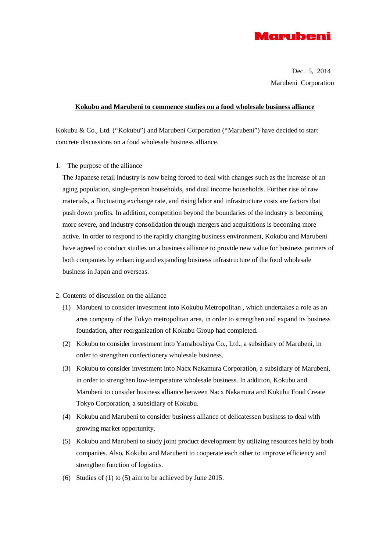

Dec. 5, 2014 Marubeni Corporation

#### **Kokubu and Marubeni to commence studies on a food wholesale business alliance**

Kokubu & Co., Ltd. ("Kokubu") and Marubeni Corporation ("Marubeni") have decided to start concrete discussions on a food wholesale business alliance.

1. The purpose of the alliance

The Japanese retail industry is now being forced to deal with changes such as the increase of an aging population, single-person households, and dual income households. Further rise of raw materials, a fluctuating exchange rate, and rising labor and infrastructure costs are factors that push down profits. In addition, competition beyond the boundaries of the industry is becoming more severe, and industry consolidation through mergers and acquisitions is becoming more active. In order to respond to the rapidly changing business environment, Kokubu and Marubeni have agreed to conduct studies on a business alliance to provide new value for business partners of both companies by enhancing and expanding business infrastructure of the food wholesale business in Japan and overseas.

#### 2. Contents of discussion on the alliance

- (1) Marubeni to consider investment into Kokubu Metropolitan , which undertakes a role as an area company of the Tokyo metropolitan area, in order to strengthen and expand its business foundation, after reorganization of Kokubu Group had completed.
- (2) Kokubu to consider investment into Yamaboshiya Co., Ltd., a subsidiary of Marubeni, in order to strengthen confectionery wholesale business.
- (3) Kokubu to consider investment into Nacx Nakamura Corporation, a subsidiary of Marubeni, in order to strengthen low-temperature wholesale business. In addition, Kokubu and Marubeni to consider business alliance between Nacx Nakamura and Kokubu Food Create Tokyo Corporation, a subsidiary of Kokubu.
- (4) Kokubu and Marubeni to consider business alliance of delicatessen business to deal with growing market opportunity.
- (5) Kokubu and Marubeni to study joint product development by utilizing resources held by both companies. Also, Kokubu and Marubeni to cooperate each other to improve efficiency and strengthen function of logistics.
- (6) Studies of (1) to (5) aim to be achieved by June 2015.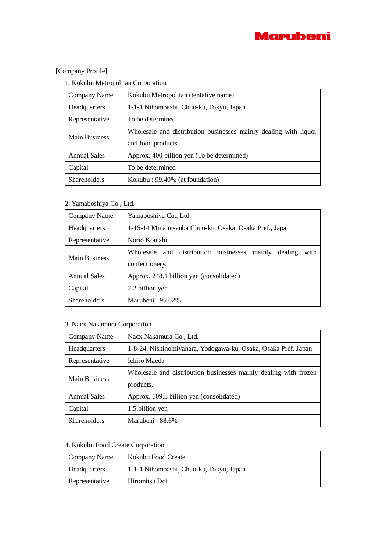

# [Company Profile]

## 1. Kokubu Metropolitan Corporation

| Company Name         | Kokubu Metropolitan (tentative name)                             |
|----------------------|------------------------------------------------------------------|
| <b>Headquarters</b>  | 1-1-1 Nihombashi, Chuo-ku, Tokyo, Japan                          |
| Representative       | To be determined                                                 |
| <b>Main Business</b> | Wholesale and distribution businesses mainly dealing with liquor |
|                      | and food products.                                               |
| <b>Annual Sales</b>  | Approx. 400 billion yen (To be determined)                       |
| Capital              | To be determined                                                 |
| <b>Shareholders</b>  | Kokubu: 99.40% (at foundation)                                   |

# 2. Yamaboshiya Co., Ltd.

| Company Name         | Yamaboshiya Co., Ltd.                                                                   |
|----------------------|-----------------------------------------------------------------------------------------|
| <b>Headquarters</b>  | 1-15-14 Minamisenba Chuo-ku, Osaka, Osaka Pref., Japan                                  |
| Representative       | Norio Konishi                                                                           |
| <b>Main Business</b> | businesses<br>with<br>Wholesale and distribution<br>dealing<br>mainly<br>confectionery. |
| <b>Annual Sales</b>  | Approx. 248.1 billion yen (consolidated)                                                |
| Capital              | 2.2 billion yen                                                                         |
| <b>Shareholders</b>  | Marubeni: 95.62%                                                                        |

## 3. Nacx Nakamura Corporation

| Company Name         | Nacx Nakamura Co., Ltd.                                          |
|----------------------|------------------------------------------------------------------|
| Headquarters         | 1-8-24, Nishinomiyahara, Yodogawa-ku, Osaka, Osaka Pref. Japan   |
| Representative       | Ichiro Maeda                                                     |
| <b>Main Business</b> | Wholesale and distribution businesses mainly dealing with frozen |
|                      | products.                                                        |
| <b>Annual Sales</b>  | Approx. 109.3 billion yen (consolidated)                         |
| Capital              | 1.5 billion yen                                                  |
| <b>Shareholders</b>  | Marubeni: 88.6%                                                  |

# 4. Kokubu Food Create Corporation

| Company Name   | Kokubu Food Create                      |
|----------------|-----------------------------------------|
| Headquarters   | 1-1-1 Nihombashi, Chuo-ku, Tokyo, Japan |
| Representative | Hiromitsu Doi                           |